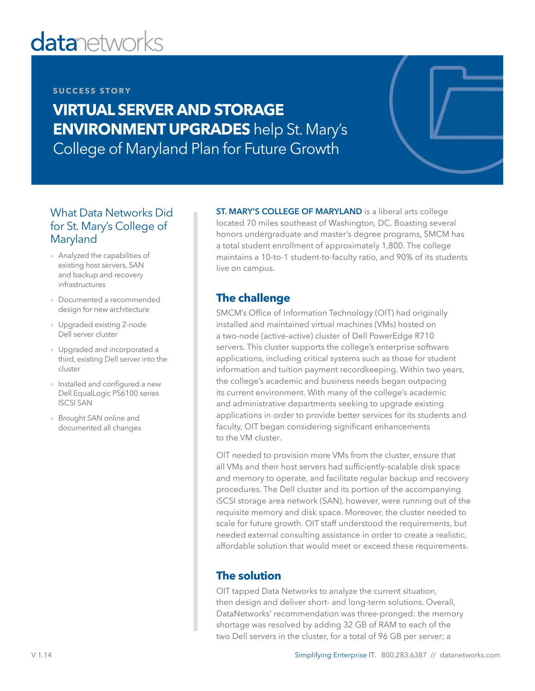# **datanetworks**

#### **SUCCESS STORY**

**VIRTUAL SERVER AND STORAGE ENVIRONMENT UPGRADES** help St. Mary's College of Maryland Plan for Future Growth

### What Data Networks Did for St. Mary's College of Maryland

- Analyzed the capabilities of existing host servers, SAN and backup and recovery infrastructures
- Documented a recommended design for new architecture
- Upgraded existing 2-node Dell server cluster
- Upgraded and incorporated a third, existing Dell server into the cluster
- Installed and configured a new Dell EqualLogic PS6100 series ISCSI SAN
- Brought SAN online and documented all changes

ST. MARY'S COLLEGE OF MARYLAND is a liberal arts college located 70 miles southeast of Washington, DC. Boasting several honors undergraduate and master's degree programs, SMCM has a total student enrollment of approximately 1,800. The college maintains a 10-to-1 student-to-faculty ratio, and 90% of its students live on campus.

## **The challenge**

SMCM's Office of Information Technology (OIT) had originally installed and maintained virtual machines (VMs) hosted on a two-node (active-active) cluster of Dell PowerEdge R710 servers. This cluster supports the college's enterprise software applications, including critical systems such as those for student information and tuition payment recordkeeping. Within two years, the college's academic and business needs began outpacing its current environment. With many of the college's academic and administrative departments seeking to upgrade existing applications in order to provide better services for its students and faculty, OIT began considering significant enhancements to the VM cluster.

OIT needed to provision more VMs from the cluster, ensure that all VMs and their host servers had sufficiently-scalable disk space and memory to operate, and facilitate regular backup and recovery procedures. The Dell cluster and its portion of the accompanying iSCSI storage area network (SAN), however, were running out of the requisite memory and disk space. Moreover, the cluster needed to scale for future growth. OIT staff understood the requirements, but needed external consulting assistance in order to create a realistic, affordable solution that would meet or exceed these requirements.

### **The solution**

OIT tapped Data Networks to analyze the current situation, then design and deliver short- and long-term solutions. Overall, DataNetworks' recommendation was three-pronged: the memory shortage was resolved by adding 32 GB of RAM to each of the two Dell servers in the cluster, for a total of 96 GB per server; a